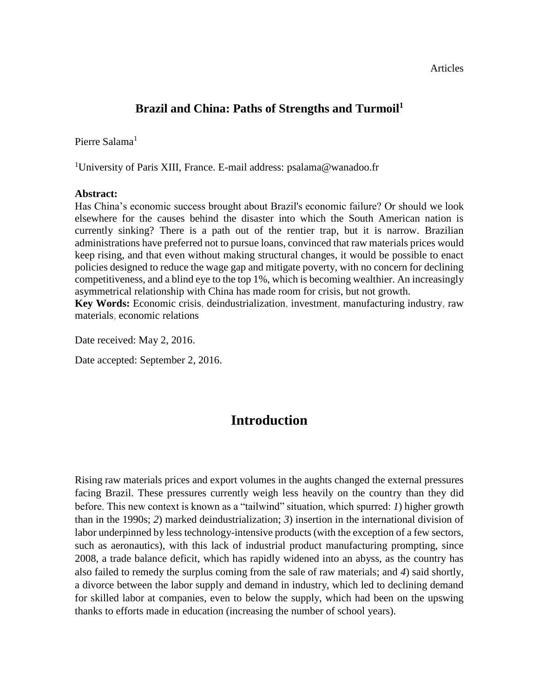#### Articles

#### **Brazil and China: Paths of Strengths and Turmoil<sup>1</sup>**

Pierre Salama<sup>1</sup>

<sup>1</sup>University of Paris XIII, France. E-mail address: psalama@wanadoo.fr

#### **Abstract:**

Has China's economic success brought about Brazil's economic failure? Or should we look elsewhere for the causes behind the disaster into which the South American nation is currently sinking? There is a path out of the rentier trap, but it is narrow. Brazilian administrations have preferred not to pursue loans, convinced that raw materials prices would keep rising, and that even without making structural changes, it would be possible to enact policies designed to reduce the wage gap and mitigate poverty, with no concern for declining competitiveness, and a blind eye to the top 1%, which is becoming wealthier. An increasingly asymmetrical relationship with China has made room for crisis, but not growth.

**Key Words:** Economic crisis, deindustrialization, investment, manufacturing industry, raw materials, economic relations

Date received: May 2, 2016.

Date accepted: September 2, 2016.

## **Introduction**

Rising raw materials prices and export volumes in the aughts changed the external pressures facing Brazil. These pressures currently weigh less heavily on the country than they did before. This new context is known as a "tailwind" situation, which spurred: *1*) higher growth than in the 1990s; *2*) marked deindustrialization; *3*) insertion in the international division of labor underpinned by less technology-intensive products (with the exception of a few sectors, such as aeronautics), with this lack of industrial product manufacturing prompting, since 2008, a trade balance deficit, which has rapidly widened into an abyss, as the country has also failed to remedy the surplus coming from the sale of raw materials; and *4*) said shortly, a divorce between the labor supply and demand in industry, which led to declining demand for skilled labor at companies, even to below the supply, which had been on the upswing thanks to efforts made in education (increasing the number of school years).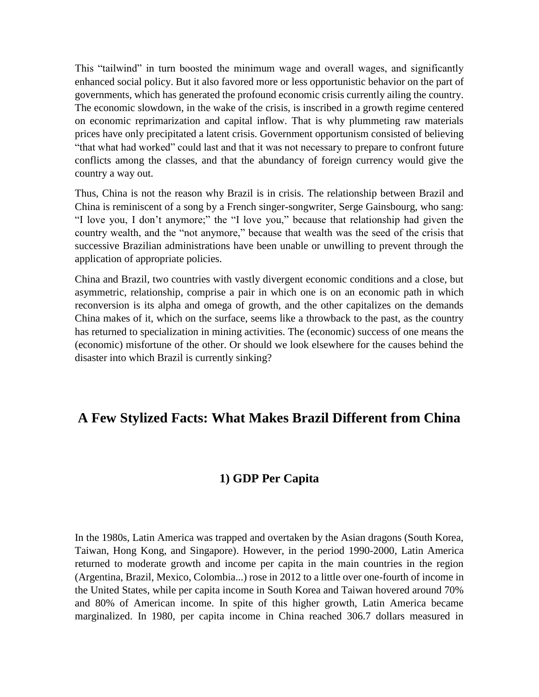This "tailwind" in turn boosted the minimum wage and overall wages, and significantly enhanced social policy. But it also favored more or less opportunistic behavior on the part of governments, which has generated the profound economic crisis currently ailing the country. The economic slowdown, in the wake of the crisis, is inscribed in a growth regime centered on economic reprimarization and capital inflow. That is why plummeting raw materials prices have only precipitated a latent crisis. Government opportunism consisted of believing "that what had worked" could last and that it was not necessary to prepare to confront future conflicts among the classes, and that the abundancy of foreign currency would give the country a way out.

Thus, China is not the reason why Brazil is in crisis. The relationship between Brazil and China is reminiscent of a song by a French singer-songwriter, Serge Gainsbourg, who sang: "I love you, I don't anymore;" the "I love you," because that relationship had given the country wealth, and the "not anymore," because that wealth was the seed of the crisis that successive Brazilian administrations have been unable or unwilling to prevent through the application of appropriate policies.

China and Brazil, two countries with vastly divergent economic conditions and a close, but asymmetric, relationship, comprise a pair in which one is on an economic path in which reconversion is its alpha and omega of growth, and the other capitalizes on the demands China makes of it, which on the surface, seems like a throwback to the past, as the country has returned to specialization in mining activities. The (economic) success of one means the (economic) misfortune of the other. Or should we look elsewhere for the causes behind the disaster into which Brazil is currently sinking?

## **A Few Stylized Facts: What Makes Brazil Different from China**

### **1) GDP Per Capita**

In the 1980s, Latin America was trapped and overtaken by the Asian dragons (South Korea, Taiwan, Hong Kong, and Singapore). However, in the period 1990-2000, Latin America returned to moderate growth and income per capita in the main countries in the region (Argentina, Brazil, Mexico, Colombia...) rose in 2012 to a little over one-fourth of income in the United States, while per capita income in South Korea and Taiwan hovered around 70% and 80% of American income. In spite of this higher growth, Latin America became marginalized. In 1980, per capita income in China reached 306.7 dollars measured in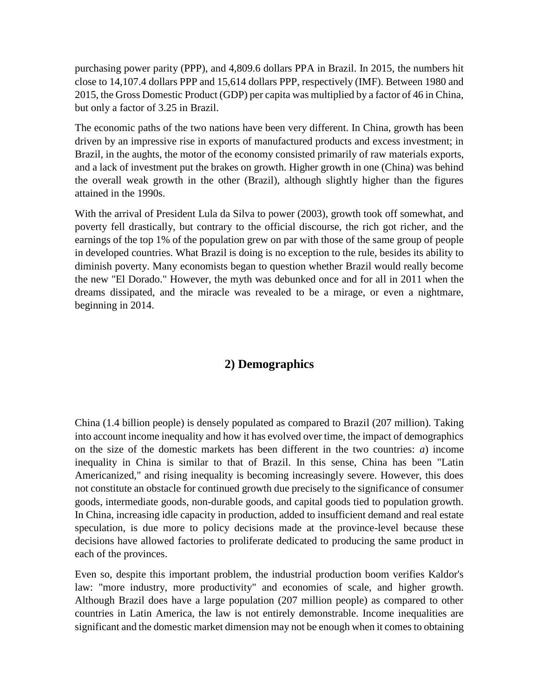purchasing power parity (PPP), and 4,809.6 dollars PPA in Brazil. In 2015, the numbers hit close to 14,107.4 dollars PPP and 15,614 dollars PPP, respectively (IMF). Between 1980 and 2015, the Gross Domestic Product (GDP) per capita was multiplied by a factor of 46 in China, but only a factor of 3.25 in Brazil.

The economic paths of the two nations have been very different. In China, growth has been driven by an impressive rise in exports of manufactured products and excess investment; in Brazil, in the aughts, the motor of the economy consisted primarily of raw materials exports, and a lack of investment put the brakes on growth. Higher growth in one (China) was behind the overall weak growth in the other (Brazil), although slightly higher than the figures attained in the 1990s.

With the arrival of President Lula da Silva to power (2003), growth took off somewhat, and poverty fell drastically, but contrary to the official discourse, the rich got richer, and the earnings of the top 1% of the population grew on par with those of the same group of people in developed countries. What Brazil is doing is no exception to the rule, besides its ability to diminish poverty. Many economists began to question whether Brazil would really become the new "El Dorado." However, the myth was debunked once and for all in 2011 when the dreams dissipated, and the miracle was revealed to be a mirage, or even a nightmare, beginning in 2014.

## **2) Demographics**

China (1.4 billion people) is densely populated as compared to Brazil (207 million). Taking into account income inequality and how it has evolved over time, the impact of demographics on the size of the domestic markets has been different in the two countries: *a*) income inequality in China is similar to that of Brazil. In this sense, China has been "Latin Americanized," and rising inequality is becoming increasingly severe. However, this does not constitute an obstacle for continued growth due precisely to the significance of consumer goods, intermediate goods, non-durable goods, and capital goods tied to population growth. In China, increasing idle capacity in production, added to insufficient demand and real estate speculation, is due more to policy decisions made at the province-level because these decisions have allowed factories to proliferate dedicated to producing the same product in each of the provinces.

Even so, despite this important problem, the industrial production boom verifies Kaldor's law: "more industry, more productivity" and economies of scale, and higher growth. Although Brazil does have a large population (207 million people) as compared to other countries in Latin America, the law is not entirely demonstrable. Income inequalities are significant and the domestic market dimension may not be enough when it comes to obtaining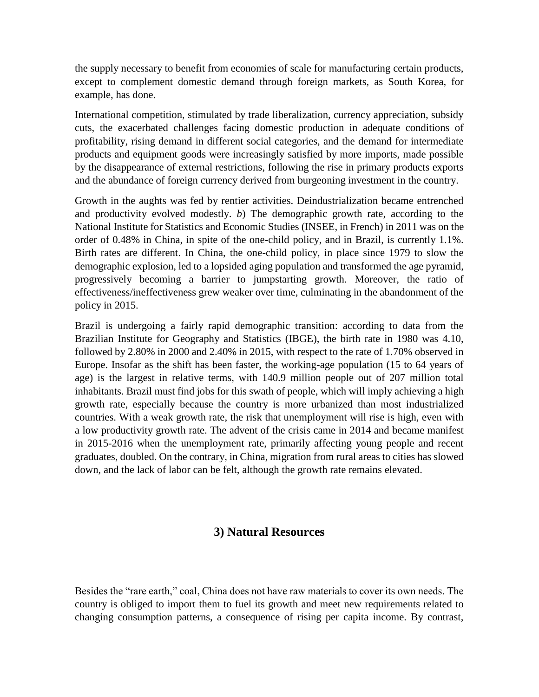the supply necessary to benefit from economies of scale for manufacturing certain products, except to complement domestic demand through foreign markets, as South Korea, for example, has done.

International competition, stimulated by trade liberalization, currency appreciation, subsidy cuts, the exacerbated challenges facing domestic production in adequate conditions of profitability, rising demand in different social categories, and the demand for intermediate products and equipment goods were increasingly satisfied by more imports, made possible by the disappearance of external restrictions, following the rise in primary products exports and the abundance of foreign currency derived from burgeoning investment in the country.

Growth in the aughts was fed by rentier activities. Deindustrialization became entrenched and productivity evolved modestly. *b*) The demographic growth rate, according to the National Institute for Statistics and Economic Studies (INSEE, in French) in 2011 was on the order of 0.48% in China, in spite of the one-child policy, and in Brazil, is currently 1.1%. Birth rates are different. In China, the one-child policy, in place since 1979 to slow the demographic explosion, led to a lopsided aging population and transformed the age pyramid, progressively becoming a barrier to jumpstarting growth. Moreover, the ratio of effectiveness/ineffectiveness grew weaker over time, culminating in the abandonment of the policy in 2015.

Brazil is undergoing a fairly rapid demographic transition: according to data from the Brazilian Institute for Geography and Statistics (IBGE), the birth rate in 1980 was 4.10, followed by 2.80% in 2000 and 2.40% in 2015, with respect to the rate of 1.70% observed in Europe. Insofar as the shift has been faster, the working-age population (15 to 64 years of age) is the largest in relative terms, with 140.9 million people out of 207 million total inhabitants. Brazil must find jobs for this swath of people, which will imply achieving a high growth rate, especially because the country is more urbanized than most industrialized countries. With a weak growth rate, the risk that unemployment will rise is high, even with a low productivity growth rate. The advent of the crisis came in 2014 and became manifest in 2015-2016 when the unemployment rate, primarily affecting young people and recent graduates, doubled. On the contrary, in China, migration from rural areas to cities has slowed down, and the lack of labor can be felt, although the growth rate remains elevated.

### **3) Natural Resources**

Besides the "rare earth," coal, China does not have raw materials to cover its own needs. The country is obliged to import them to fuel its growth and meet new requirements related to changing consumption patterns, a consequence of rising per capita income. By contrast,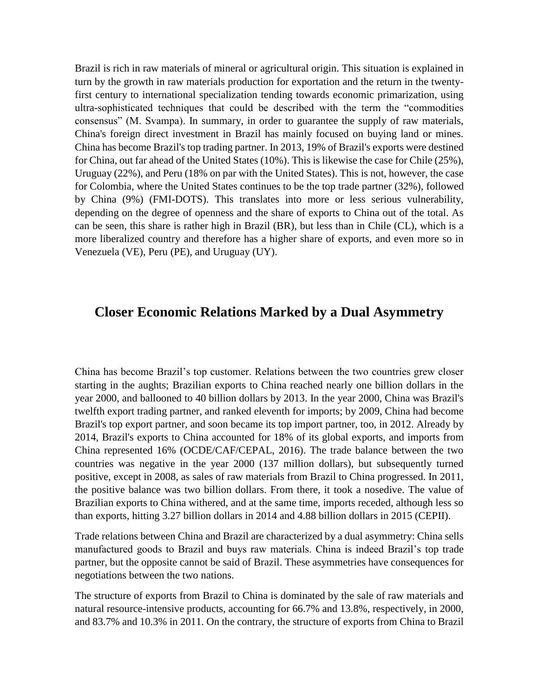Brazil is rich in raw materials of mineral or agricultural origin. This situation is explained in turn by the growth in raw materials production for exportation and the return in the twentyfirst century to international specialization tending towards economic primarization, using ultra-sophisticated techniques that could be described with the term the "commodities consensus" (M. Svampa). In summary, in order to guarantee the supply of raw materials, China's foreign direct investment in Brazil has mainly focused on buying land or mines. China has become Brazil's top trading partner. In 2013, 19% of Brazil's exports were destined for China, out far ahead of the United States (10%). This is likewise the case for Chile (25%), Uruguay (22%), and Peru (18% on par with the United States). This is not, however, the case for Colombia, where the United States continues to be the top trade partner (32%), followed by China (9%) (FMI-DOTS). This translates into more or less serious vulnerability, depending on the degree of openness and the share of exports to China out of the total. As can be seen, this share is rather high in Brazil (BR), but less than in Chile (CL), which is a more liberalized country and therefore has a higher share of exports, and even more so in Venezuela (VE), Peru (PE), and Uruguay (UY).

### **Closer Economic Relations Marked by a Dual Asymmetry**

China has become Brazil's top customer. Relations between the two countries grew closer starting in the aughts; Brazilian exports to China reached nearly one billion dollars in the year 2000, and ballooned to 40 billion dollars by 2013. In the year 2000, China was Brazil's twelfth export trading partner, and ranked eleventh for imports; by 2009, China had become Brazil's top export partner, and soon became its top import partner, too, in 2012. Already by 2014, Brazil's exports to China accounted for 18% of its global exports, and imports from China represented 16% (OCDE/CAF/CEPAL, 2016). The trade balance between the two countries was negative in the year 2000 (137 million dollars), but subsequently turned positive, except in 2008, as sales of raw materials from Brazil to China progressed. In 2011, the positive balance was two billion dollars. From there, it took a nosedive. The value of Brazilian exports to China withered, and at the same time, imports receded, although less so than exports, hitting 3.27 billion dollars in 2014 and 4.88 billion dollars in 2015 (CEPII).

Trade relations between China and Brazil are characterized by a dual asymmetry: China sells manufactured goods to Brazil and buys raw materials. China is indeed Brazil's top trade partner, but the opposite cannot be said of Brazil. These asymmetries have consequences for negotiations between the two nations.

The structure of exports from Brazil to China is dominated by the sale of raw materials and natural resource-intensive products, accounting for 66.7% and 13.8%, respectively, in 2000, and 83.7% and 10.3% in 2011. On the contrary, the structure of exports from China to Brazil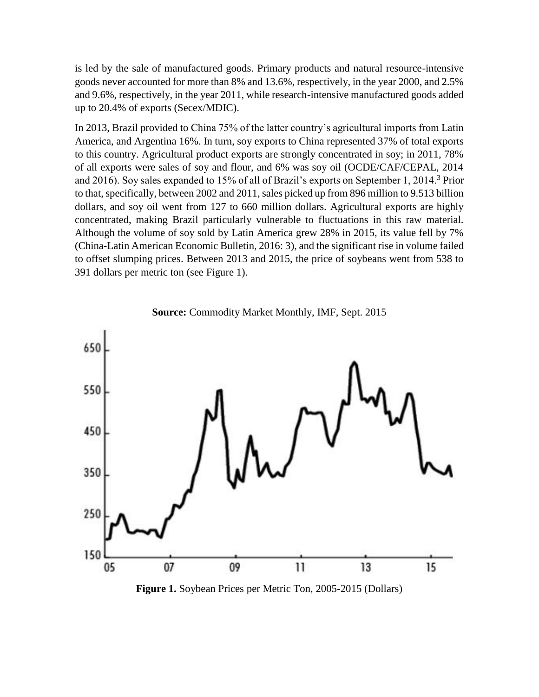is led by the sale of manufactured goods. Primary products and natural resource-intensive goods never accounted for more than 8% and 13.6%, respectively, in the year 2000, and 2.5% and 9.6%, respectively, in the year 2011, while research-intensive manufactured goods added up to 20.4% of exports (Secex/MDIC).

In 2013, Brazil provided to China 75% of the latter country's agricultural imports from Latin America, and Argentina 16%. In turn, soy exports to China represented 37% of total exports to this country. Agricultural product exports are strongly concentrated in soy; in 2011, 78% of all exports were sales of soy and flour, and 6% was soy oil (OCDE/CAF/CEPAL, 2014 and 2016). Soy sales expanded to 15% of all of Brazil's exports on September 1, 2014.<sup>3</sup> Prior to that, specifically, between 2002 and 2011, sales picked up from 896 million to 9.513 billion dollars, and soy oil went from 127 to 660 million dollars. Agricultural exports are highly concentrated, making Brazil particularly vulnerable to fluctuations in this raw material. Although the volume of soy sold by Latin America grew 28% in 2015, its value fell by 7% (China-Latin American Economic Bulletin, 2016: 3), and the significant rise in volume failed to offset slumping prices. Between 2013 and 2015, the price of soybeans went from 538 to 391 dollars per metric ton (see Figure 1).



**Source:** Commodity Market Monthly, IMF, Sept. 2015

**Figure 1.** Soybean Prices per Metric Ton, 2005-2015 (Dollars)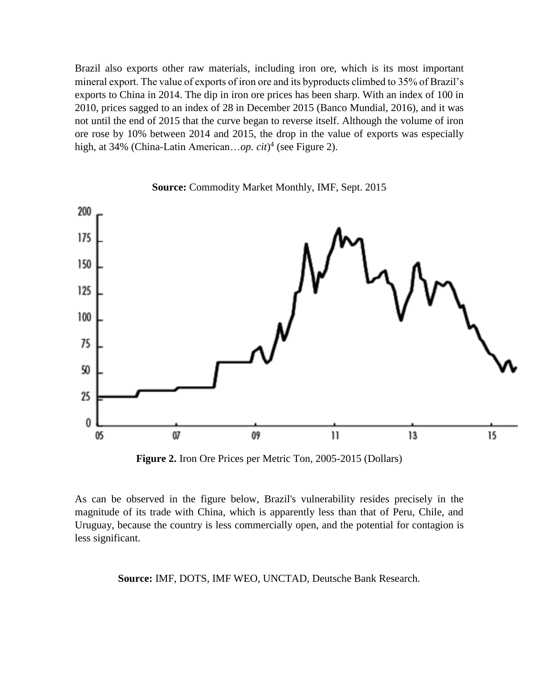Brazil also exports other raw materials, including iron ore, which is its most important mineral export. The value of exports of iron ore and its byproducts climbed to 35% of Brazil's exports to China in 2014. The dip in iron ore prices has been sharp. With an index of 100 in 2010, prices sagged to an index of 28 in December 2015 (Banco Mundial, 2016), and it was not until the end of 2015 that the curve began to reverse itself. Although the volume of iron ore rose by 10% between 2014 and 2015, the drop in the value of exports was especially high, at 34% (China-Latin American…*op. cit*) 4 (see Figure 2).



**Source:** Commodity Market Monthly, IMF, Sept. 2015

**Figure 2.** Iron Ore Prices per Metric Ton, 2005-2015 (Dollars)

As can be observed in the figure below, Brazil's vulnerability resides precisely in the magnitude of its trade with China, which is apparently less than that of Peru, Chile, and Uruguay, because the country is less commercially open, and the potential for contagion is less significant.

**Source:** IMF, DOTS, IMF WEO, UNCTAD, Deutsche Bank Research.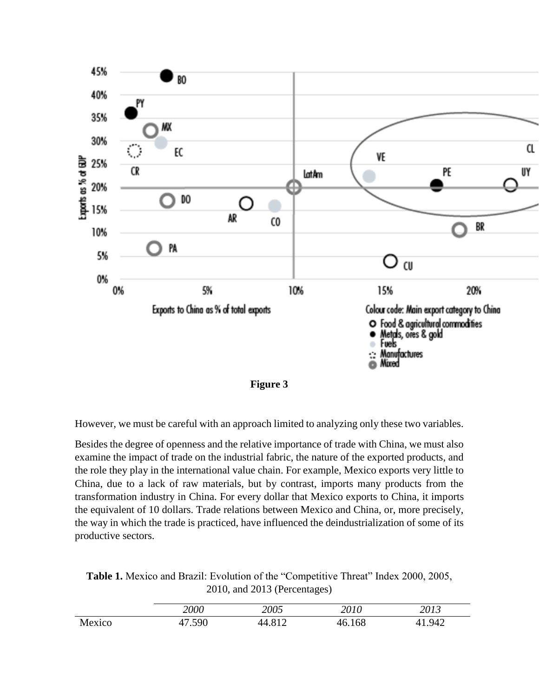

**Figure 3**

However, we must be careful with an approach limited to analyzing only these two variables.

Besides the degree of openness and the relative importance of trade with China, we must also examine the impact of trade on the industrial fabric, the nature of the exported products, and the role they play in the international value chain. For example, Mexico exports very little to China, due to a lack of raw materials, but by contrast, imports many products from the transformation industry in China. For every dollar that Mexico exports to China, it imports the equivalent of 10 dollars. Trade relations between Mexico and China, or, more precisely, the way in which the trade is practiced, have influenced the deindustrialization of some of its productive sectors.

**Table 1.** Mexico and Brazil: Evolution of the "Competitive Threat" Index 2000, 2005, 2010, and 2013 (Percentages)

|        | 2000       | 2005            | 2010        | 2013  |
|--------|------------|-----------------|-------------|-------|
| Mexico | .590<br>47 | $44.81^{\circ}$ | 168<br>-46. | 1.942 |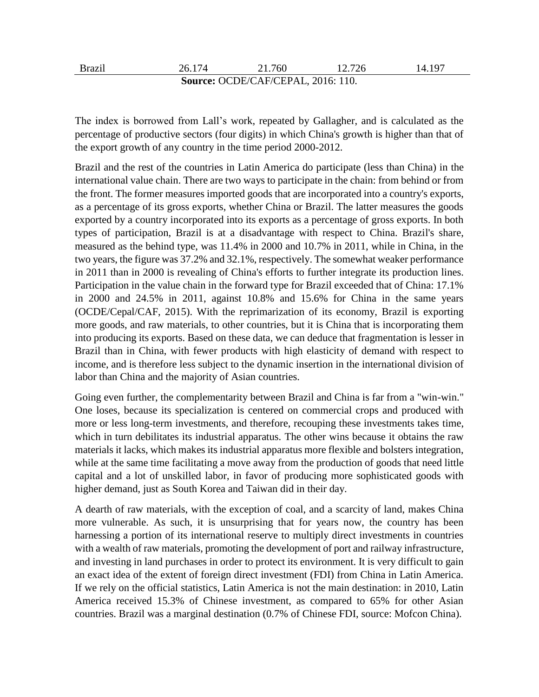| Brazil                             | 26.174 | 21.760 | 12.726 | 14.197 |  |  |  |  |
|------------------------------------|--------|--------|--------|--------|--|--|--|--|
| Source: OCDE/CAF/CEPAL, 2016: 110. |        |        |        |        |  |  |  |  |

The index is borrowed from Lall's work, repeated by Gallagher, and is calculated as the percentage of productive sectors (four digits) in which China's growth is higher than that of the export growth of any country in the time period 2000-2012.

Brazil and the rest of the countries in Latin America do participate (less than China) in the international value chain. There are two ways to participate in the chain: from behind or from the front. The former measures imported goods that are incorporated into a country's exports, as a percentage of its gross exports, whether China or Brazil. The latter measures the goods exported by a country incorporated into its exports as a percentage of gross exports. In both types of participation, Brazil is at a disadvantage with respect to China. Brazil's share, measured as the behind type, was 11.4% in 2000 and 10.7% in 2011, while in China, in the two years, the figure was 37.2% and 32.1%, respectively. The somewhat weaker performance in 2011 than in 2000 is revealing of China's efforts to further integrate its production lines. Participation in the value chain in the forward type for Brazil exceeded that of China: 17.1% in 2000 and 24.5% in 2011, against 10.8% and 15.6% for China in the same years (OCDE/Cepal/CAF, 2015). With the reprimarization of its economy, Brazil is exporting more goods, and raw materials, to other countries, but it is China that is incorporating them into producing its exports. Based on these data, we can deduce that fragmentation is lesser in Brazil than in China, with fewer products with high elasticity of demand with respect to income, and is therefore less subject to the dynamic insertion in the international division of labor than China and the majority of Asian countries.

Going even further, the complementarity between Brazil and China is far from a "win-win." One loses, because its specialization is centered on commercial crops and produced with more or less long-term investments, and therefore, recouping these investments takes time, which in turn debilitates its industrial apparatus. The other wins because it obtains the raw materials it lacks, which makes its industrial apparatus more flexible and bolsters integration, while at the same time facilitating a move away from the production of goods that need little capital and a lot of unskilled labor, in favor of producing more sophisticated goods with higher demand, just as South Korea and Taiwan did in their day.

A dearth of raw materials, with the exception of coal, and a scarcity of land, makes China more vulnerable. As such, it is unsurprising that for years now, the country has been harnessing a portion of its international reserve to multiply direct investments in countries with a wealth of raw materials, promoting the development of port and railway infrastructure, and investing in land purchases in order to protect its environment. It is very difficult to gain an exact idea of the extent of foreign direct investment (FDI) from China in Latin America. If we rely on the official statistics, Latin America is not the main destination: in 2010, Latin America received 15.3% of Chinese investment, as compared to 65% for other Asian countries. Brazil was a marginal destination (0.7% of Chinese FDI, source: Mofcon China).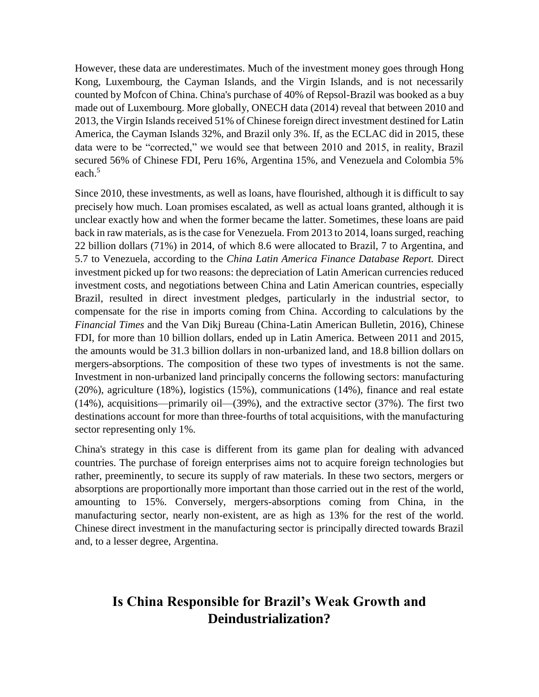However, these data are underestimates. Much of the investment money goes through Hong Kong, Luxembourg, the Cayman Islands, and the Virgin Islands, and is not necessarily counted by Mofcon of China. China's purchase of 40% of Repsol-Brazil was booked as a buy made out of Luxembourg. More globally, ONECH data (2014) reveal that between 2010 and 2013, the Virgin Islands received 51% of Chinese foreign direct investment destined for Latin America, the Cayman Islands 32%, and Brazil only 3%. If, as the ECLAC did in 2015, these data were to be "corrected," we would see that between 2010 and 2015, in reality, Brazil secured 56% of Chinese FDI, Peru 16%, Argentina 15%, and Venezuela and Colombia 5% each.<sup>5</sup>

Since 2010, these investments, as well as loans, have flourished, although it is difficult to say precisely how much. Loan promises escalated, as well as actual loans granted, although it is unclear exactly how and when the former became the latter. Sometimes, these loans are paid back in raw materials, as is the case for Venezuela. From 2013 to 2014, loans surged, reaching 22 billion dollars (71%) in 2014, of which 8.6 were allocated to Brazil, 7 to Argentina, and 5.7 to Venezuela, according to the *China Latin America Finance Database Report.* Direct investment picked up for two reasons: the depreciation of Latin American currencies reduced investment costs, and negotiations between China and Latin American countries, especially Brazil, resulted in direct investment pledges, particularly in the industrial sector, to compensate for the rise in imports coming from China. According to calculations by the *Financial Times* and the Van Dikj Bureau (China-Latin American Bulletin, 2016), Chinese FDI, for more than 10 billion dollars, ended up in Latin America. Between 2011 and 2015, the amounts would be 31.3 billion dollars in non-urbanized land, and 18.8 billion dollars on mergers-absorptions. The composition of these two types of investments is not the same. Investment in non-urbanized land principally concerns the following sectors: manufacturing (20%), agriculture (18%), logistics (15%), communications (14%), finance and real estate (14%), acquisitions—primarily oil—(39%), and the extractive sector (37%). The first two destinations account for more than three-fourths of total acquisitions, with the manufacturing sector representing only 1%.

China's strategy in this case is different from its game plan for dealing with advanced countries. The purchase of foreign enterprises aims not to acquire foreign technologies but rather, preeminently, to secure its supply of raw materials. In these two sectors, mergers or absorptions are proportionally more important than those carried out in the rest of the world, amounting to 15%. Conversely, mergers-absorptions coming from China, in the manufacturing sector, nearly non-existent, are as high as 13% for the rest of the world. Chinese direct investment in the manufacturing sector is principally directed towards Brazil and, to a lesser degree, Argentina.

# **Is China Responsible for Brazil's Weak Growth and Deindustrialization?**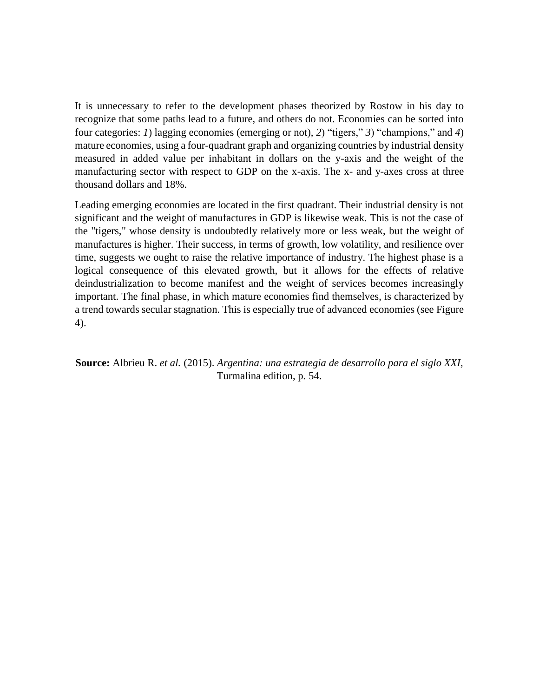It is unnecessary to refer to the development phases theorized by Rostow in his day to recognize that some paths lead to a future, and others do not. Economies can be sorted into four categories: *1*) lagging economies (emerging or not), *2*) "tigers," *3*) "champions," and *4*) mature economies, using a four-quadrant graph and organizing countries by industrial density measured in added value per inhabitant in dollars on the y-axis and the weight of the manufacturing sector with respect to GDP on the x-axis. The x- and y-axes cross at three thousand dollars and 18%.

Leading emerging economies are located in the first quadrant. Their industrial density is not significant and the weight of manufactures in GDP is likewise weak. This is not the case of the "tigers," whose density is undoubtedly relatively more or less weak, but the weight of manufactures is higher. Their success, in terms of growth, low volatility, and resilience over time, suggests we ought to raise the relative importance of industry. The highest phase is a logical consequence of this elevated growth, but it allows for the effects of relative deindustrialization to become manifest and the weight of services becomes increasingly important. The final phase, in which mature economies find themselves, is characterized by a trend towards secular stagnation. This is especially true of advanced economies (see Figure 4).

**Source:** Albrieu R. *et al.* (2015). *Argentina: una estrategia de desarrollo para el siglo XXI,*  Turmalina edition, p. 54.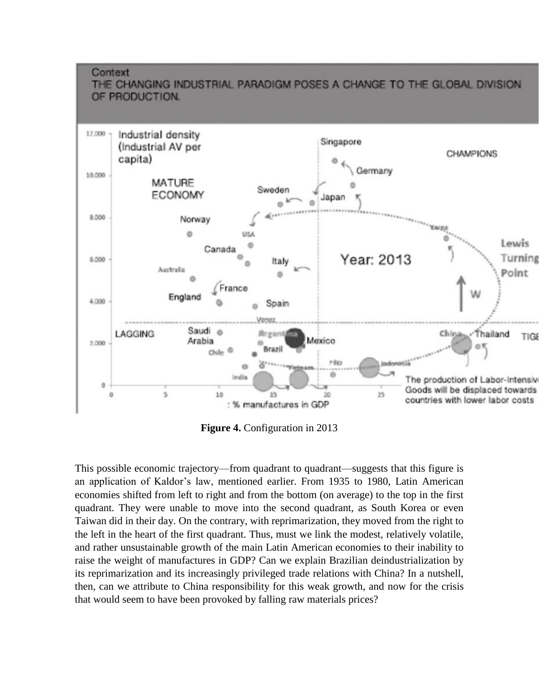#### Context





**Figure 4.** Configuration in 2013

This possible economic trajectory—from quadrant to quadrant—suggests that this figure is an application of Kaldor's law, mentioned earlier. From 1935 to 1980, Latin American economies shifted from left to right and from the bottom (on average) to the top in the first quadrant. They were unable to move into the second quadrant, as South Korea or even Taiwan did in their day. On the contrary, with reprimarization, they moved from the right to the left in the heart of the first quadrant. Thus, must we link the modest, relatively volatile, and rather unsustainable growth of the main Latin American economies to their inability to raise the weight of manufactures in GDP? Can we explain Brazilian deindustrialization by its reprimarization and its increasingly privileged trade relations with China? In a nutshell, then, can we attribute to China responsibility for this weak growth, and now for the crisis that would seem to have been provoked by falling raw materials prices?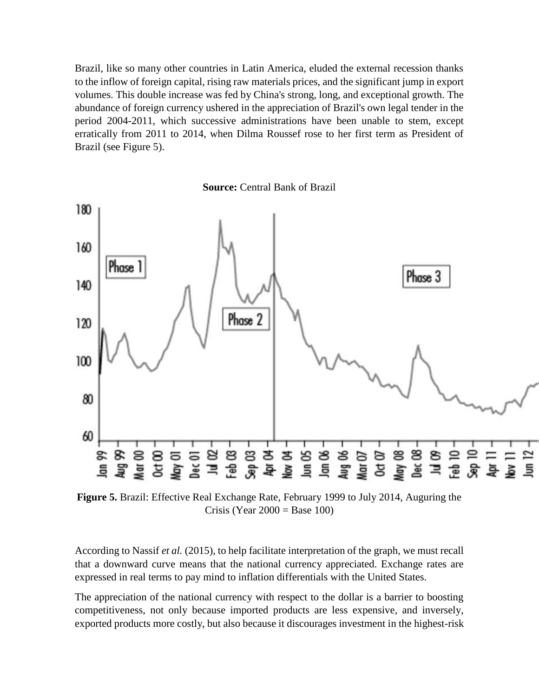Brazil, like so many other countries in Latin America, eluded the external recession thanks to the inflow of foreign capital, rising raw materials prices, and the significant jump in export volumes. This double increase was fed by China's strong, long, and exceptional growth. The abundance of foreign currency ushered in the appreciation of Brazil's own legal tender in the period 2004-2011, which successive administrations have been unable to stem, except erratically from 2011 to 2014, when Dilma Roussef rose to her first term as President of Brazil (see Figure 5).

**Source:** Central Bank of Brazil



**Figure 5.** Brazil: Effective Real Exchange Rate, February 1999 to July 2014, Auguring the Crisis (Year  $2000 =$  Base 100)

According to Nassif *et al.* (2015), to help facilitate interpretation of the graph, we must recall that a downward curve means that the national currency appreciated. Exchange rates are expressed in real terms to pay mind to inflation differentials with the United States.

The appreciation of the national currency with respect to the dollar is a barrier to boosting competitiveness, not only because imported products are less expensive, and inversely, exported products more costly, but also because it discourages investment in the highest-risk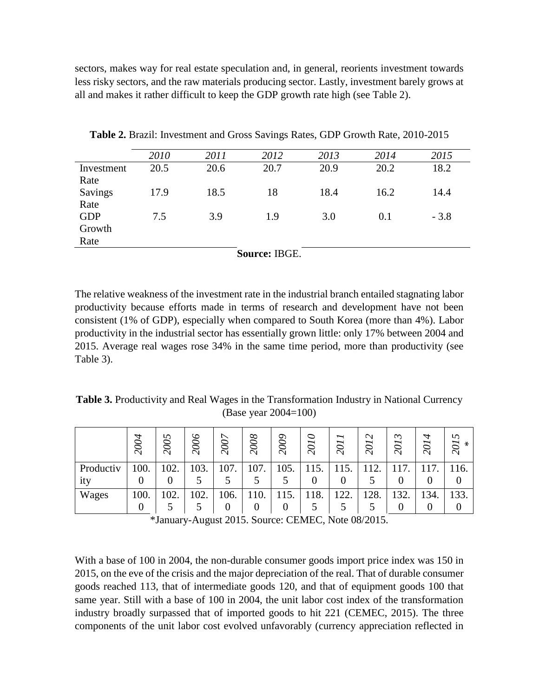sectors, makes way for real estate speculation and, in general, reorients investment towards less risky sectors, and the raw materials producing sector. Lastly, investment barely grows at all and makes it rather difficult to keep the GDP growth rate high (see Table 2).

|                | 2010 | 2011 | 2012 | 2013 | 2014 | 2015   |
|----------------|------|------|------|------|------|--------|
| Investment     | 20.5 | 20.6 | 20.7 | 20.9 | 20.2 | 18.2   |
| Rate           |      |      |      |      |      |        |
| <b>Savings</b> | 17.9 | 18.5 | 18   | 18.4 | 16.2 | 14.4   |
| Rate           |      |      |      |      |      |        |
| <b>GDP</b>     | 7.5  | 3.9  | 1.9  | 3.0  | 0.1  | $-3.8$ |
| Growth         |      |      |      |      |      |        |
| Rate           |      |      |      |      |      |        |

**Table 2.** Brazil: Investment and Gross Savings Rates, GDP Growth Rate, 2010-2015

**Source:** IBGE.

The relative weakness of the investment rate in the industrial branch entailed stagnating labor productivity because efforts made in terms of research and development have not been consistent (1% of GDP), especially when compared to South Korea (more than 4%). Labor productivity in the industrial sector has essentially grown little: only 17% between 2004 and 2015. Average real wages rose 34% in the same time period, more than productivity (see Table 3).

**Table 3.** Productivity and Real Wages in the Transformation Industry in National Currency (Base year 2004=100)

|           | 200  | 2005 | 2006 | 2007 | 2008             | 2009 | ○<br>20 <sub>1</sub> | ∼<br>201 | $\sim$<br>201 | $\sim$<br>201 | 4<br>201 | $\sim$<br>201<br>$\ast$ |
|-----------|------|------|------|------|------------------|------|----------------------|----------|---------------|---------------|----------|-------------------------|
| Productiv | 100. | 102. | 103. | 107. | 107.             | 105. | 115.                 | 115.     | 112.          | 117           | 117      | 116.                    |
| ity       |      |      |      |      |                  |      |                      |          |               |               |          |                         |
| Wages     | 100. | 102. | 102. | 106. | 110.             | 115. | 118.                 | 122.     | 128.          | 132.          | 134.     | 133.                    |
|           |      |      |      |      | $\boldsymbol{0}$ |      |                      |          |               |               |          |                         |

<sup>\*</sup>January-August 2015. Source: CEMEC, Note 08/2015.

With a base of 100 in 2004, the non-durable consumer goods import price index was 150 in 2015, on the eve of the crisis and the major depreciation of the real. That of durable consumer goods reached 113, that of intermediate goods 120, and that of equipment goods 100 that same year. Still with a base of 100 in 2004, the unit labor cost index of the transformation industry broadly surpassed that of imported goods to hit 221 (CEMEC, 2015). The three components of the unit labor cost evolved unfavorably (currency appreciation reflected in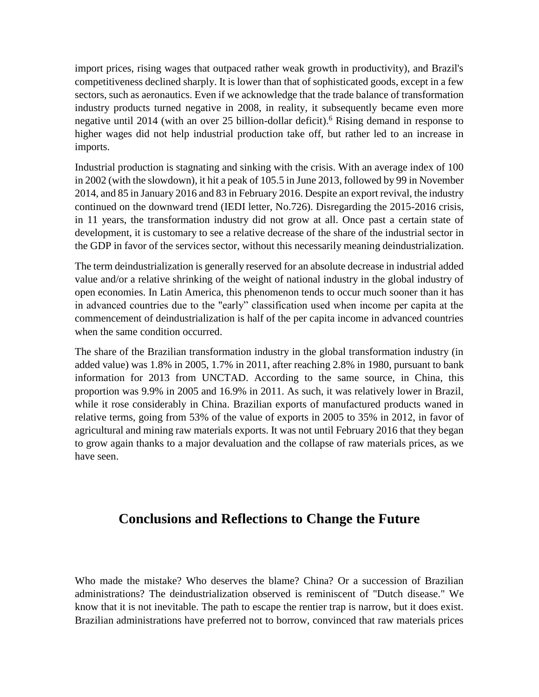import prices, rising wages that outpaced rather weak growth in productivity), and Brazil's competitiveness declined sharply. It is lower than that of sophisticated goods, except in a few sectors, such as aeronautics. Even if we acknowledge that the trade balance of transformation industry products turned negative in 2008, in reality, it subsequently became even more negative until 2014 (with an over 25 billion-dollar deficit).<sup>6</sup> Rising demand in response to higher wages did not help industrial production take off, but rather led to an increase in imports.

Industrial production is stagnating and sinking with the crisis. With an average index of 100 in 2002 (with the slowdown), it hit a peak of 105.5 in June 2013, followed by 99 in November 2014, and 85 in January 2016 and 83 in February 2016. Despite an export revival, the industry continued on the downward trend (IEDI letter, No.726). Disregarding the 2015-2016 crisis, in 11 years, the transformation industry did not grow at all. Once past a certain state of development, it is customary to see a relative decrease of the share of the industrial sector in the GDP in favor of the services sector, without this necessarily meaning deindustrialization.

The term deindustrialization is generally reserved for an absolute decrease in industrial added value and/or a relative shrinking of the weight of national industry in the global industry of open economies. In Latin America, this phenomenon tends to occur much sooner than it has in advanced countries due to the "early" classification used when income per capita at the commencement of deindustrialization is half of the per capita income in advanced countries when the same condition occurred.

The share of the Brazilian transformation industry in the global transformation industry (in added value) was 1.8% in 2005, 1.7% in 2011, after reaching 2.8% in 1980, pursuant to bank information for 2013 from UNCTAD. According to the same source, in China, this proportion was 9.9% in 2005 and 16.9% in 2011. As such, it was relatively lower in Brazil, while it rose considerably in China. Brazilian exports of manufactured products waned in relative terms, going from 53% of the value of exports in 2005 to 35% in 2012, in favor of agricultural and mining raw materials exports. It was not until February 2016 that they began to grow again thanks to a major devaluation and the collapse of raw materials prices, as we have seen.

## **Conclusions and Reflections to Change the Future**

Who made the mistake? Who deserves the blame? China? Or a succession of Brazilian administrations? The deindustrialization observed is reminiscent of "Dutch disease." We know that it is not inevitable. The path to escape the rentier trap is narrow, but it does exist. Brazilian administrations have preferred not to borrow, convinced that raw materials prices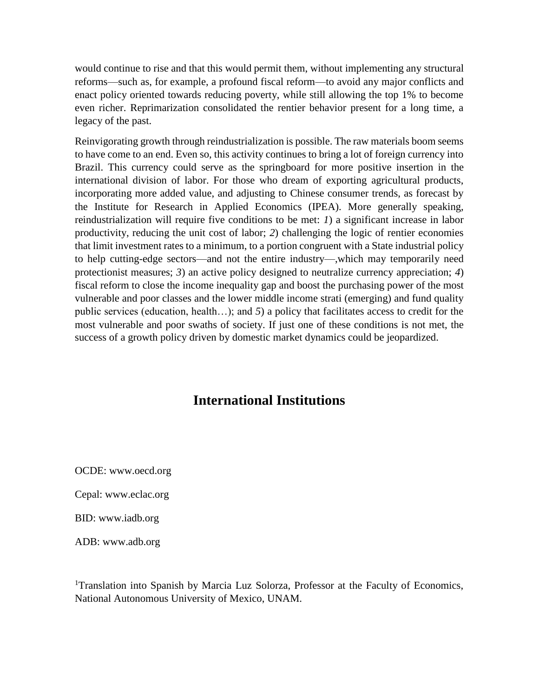would continue to rise and that this would permit them, without implementing any structural reforms—such as, for example, a profound fiscal reform—to avoid any major conflicts and enact policy oriented towards reducing poverty, while still allowing the top 1% to become even richer. Reprimarization consolidated the rentier behavior present for a long time, a legacy of the past.

Reinvigorating growth through reindustrialization is possible. The raw materials boom seems to have come to an end. Even so, this activity continues to bring a lot of foreign currency into Brazil. This currency could serve as the springboard for more positive insertion in the international division of labor. For those who dream of exporting agricultural products, incorporating more added value, and adjusting to Chinese consumer trends, as forecast by the Institute for Research in Applied Economics (IPEA). More generally speaking, reindustrialization will require five conditions to be met: *1*) a significant increase in labor productivity, reducing the unit cost of labor; *2*) challenging the logic of rentier economies that limit investment rates to a minimum, to a portion congruent with a State industrial policy to help cutting-edge sectors—and not the entire industry—,which may temporarily need protectionist measures; *3*) an active policy designed to neutralize currency appreciation; *4*) fiscal reform to close the income inequality gap and boost the purchasing power of the most vulnerable and poor classes and the lower middle income strati (emerging) and fund quality public services (education, health…); and *5*) a policy that facilitates access to credit for the most vulnerable and poor swaths of society. If just one of these conditions is not met, the success of a growth policy driven by domestic market dynamics could be jeopardized.

## **International Institutions**

OCDE: www.oecd.org

Cepal: www.eclac.org

BID: www.iadb.org

ADB: www.adb.org

<sup>1</sup>Translation into Spanish by Marcia Luz Solorza, Professor at the Faculty of Economics, National Autonomous University of Mexico, UNAM.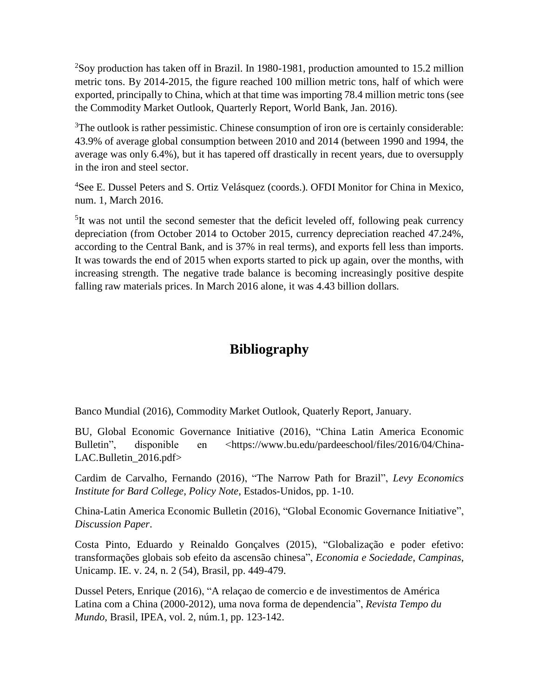<sup>2</sup>Soy production has taken off in Brazil. In 1980-1981, production amounted to 15.2 million metric tons. By 2014-2015, the figure reached 100 million metric tons, half of which were exported, principally to China, which at that time was importing 78.4 million metric tons (see the Commodity Market Outlook, Quarterly Report, World Bank, Jan. 2016).

<sup>3</sup>The outlook is rather pessimistic. Chinese consumption of iron ore is certainly considerable: 43.9% of average global consumption between 2010 and 2014 (between 1990 and 1994, the average was only 6.4%), but it has tapered off drastically in recent years, due to oversupply in the iron and steel sector.

<sup>4</sup>See E. Dussel Peters and S. Ortiz Velásquez (coords.). OFDI Monitor for China in Mexico, num. 1, March 2016.

<sup>5</sup>It was not until the second semester that the deficit leveled off, following peak currency depreciation (from October 2014 to October 2015, currency depreciation reached 47.24%, according to the Central Bank, and is 37% in real terms), and exports fell less than imports. It was towards the end of 2015 when exports started to pick up again, over the months, with increasing strength. The negative trade balance is becoming increasingly positive despite falling raw materials prices. In March 2016 alone, it was 4.43 billion dollars.

# **Bibliography**

Banco Mundial (2016), Commodity Market Outlook, Quaterly Report, January.

BU, Global Economic Governance Initiative (2016), "China Latin America Economic Bulletin", disponible en <https://www.bu.edu/pardeeschool/files/2016/04/China-LAC.Bulletin\_2016.pdf>

Cardim de Carvalho, Fernando (2016), "The Narrow Path for Brazil", *Levy Economics Institute for Bard College*, *Policy Note*, Estados-Unidos, pp. 1-10.

China-Latin America Economic Bulletin (2016), "Global Economic Governance Initiative", *Discussion Paper*.

Costa Pinto, Eduardo y Reinaldo Gonçalves (2015), "Globalização e poder efetivo: transformações globais sob efeito da ascensão chinesa", *Economia e Sociedade*, *Campinas*, Unicamp. IE. v. 24, n. 2 (54), Brasil, pp. 449-479.

Dussel Peters, Enrique (2016), "A relaçao de comercio e de investimentos de América Latina com a China (2000-2012), uma nova forma de dependencia", *Revista Tempo du Mundo*, Brasil, IPEA, vol. 2, núm.1, pp. 123-142.